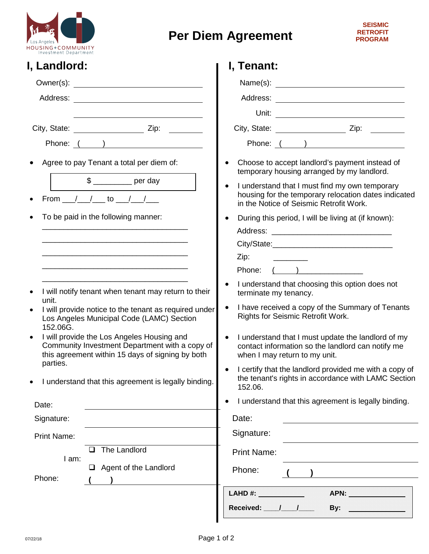

## **Per Diem Agreement**

| I, Landlord:                                                                                                                                                  | I, Tenant:                                                                                                                                            |
|---------------------------------------------------------------------------------------------------------------------------------------------------------------|-------------------------------------------------------------------------------------------------------------------------------------------------------|
|                                                                                                                                                               |                                                                                                                                                       |
|                                                                                                                                                               |                                                                                                                                                       |
|                                                                                                                                                               |                                                                                                                                                       |
|                                                                                                                                                               |                                                                                                                                                       |
| Phone: ( )                                                                                                                                                    | Phone: ( )                                                                                                                                            |
| Agree to pay Tenant a total per diem of:                                                                                                                      | Choose to accept landlord's payment instead of<br>temporary housing arranged by my landlord.                                                          |
| $\frac{1}{2}$ per day<br>From $\frac{1}{2}$ / to $\frac{1}{2}$<br>$\bullet$                                                                                   | I understand that I must find my own temporary<br>housing for the temporary relocation dates indicated<br>in the Notice of Seismic Retrofit Work.     |
| To be paid in the following manner:                                                                                                                           | During this period, I will be living at (if known):                                                                                                   |
|                                                                                                                                                               | City/State: City/State:                                                                                                                               |
|                                                                                                                                                               | Zip:                                                                                                                                                  |
|                                                                                                                                                               |                                                                                                                                                       |
| I will notify tenant when tenant may return to their                                                                                                          | I understand that choosing this option does not<br>terminate my tenancy.                                                                              |
| unit.<br>I will provide notice to the tenant as required under<br>Los Angeles Municipal Code (LAMC) Section<br>152.06G.                                       | I have received a copy of the Summary of Tenants<br>Rights for Seismic Retrofit Work.                                                                 |
| I will provide the Los Angeles Housing and<br>$\bullet$<br>Community Investment Department with a copy of<br>this agreement within 15 days of signing by both | I understand that I must update the landlord of my<br>$\bullet$<br>contact information so the landlord can notify me<br>when I may return to my unit. |
| parties.<br>I understand that this agreement is legally binding.                                                                                              | I certify that the landlord provided me with a copy of<br>the tenant's rights in accordance with LAMC Section<br>152.06.                              |
| Date:                                                                                                                                                         | I understand that this agreement is legally binding.                                                                                                  |
| Signature:                                                                                                                                                    | Date:                                                                                                                                                 |
| <b>Print Name:</b>                                                                                                                                            | Signature:                                                                                                                                            |
| The Landlord                                                                                                                                                  | <b>Print Name:</b>                                                                                                                                    |
| I am:                                                                                                                                                         |                                                                                                                                                       |
| $\Box$ Agent of the Landlord<br>Phone:                                                                                                                        | Phone:                                                                                                                                                |
|                                                                                                                                                               | LAHD #: And a series of the series of the series of the series of the series of the series of the series of the<br>APN: APN:<br>Received: / /         |